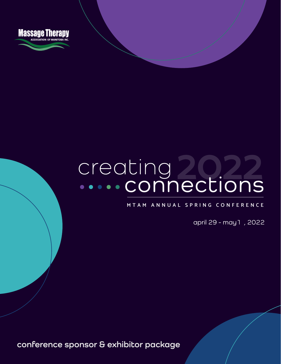

# creating<br>....connections

**MTAM ANNUAL SPRING CONFERENCE**

april 29 - may1 , 2022

**conference sponsor & exhibitor package**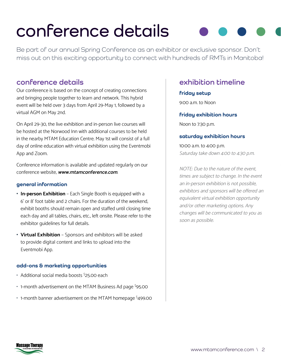# **conference details**

Be part of our annual Spring Conference as an exhibitor or exclusive sponsor. Don't miss out on this exciting opportunity to connect with hundreds of RMTs in Manitoba!

### **conference details**

Our conference is based on the concept of creating connections and bringing people together to learn and network. This hybrid event will be held over 3 days from April 29-May 1, followed by a virtual AGM on May 2nd.

On April 29-30, the live exhibition and in-person live courses will be hosted at the Norwood Inn with additional courses to be held in the nearby MTAM Education Centre. May 1st will consist of a full day of online education with virtual exhibition using the Eventmobi App and Zoom.

Conference information is available and updated regularly on our conference website, **www.mtamconference.com**.

#### **general information**

- **• In-person Exhibition** Each Single Booth is equipped with a 6' or 8' foot table and 2 chairs. For the duration of the weekend, exhibit booths should remain open and staffed until closing time each day and all tables, chairs, etc., left onsite. Please refer to the exhibitor guidelines for full details.
- **• Virtual Exhibition** Sponsors and exhibitors will be asked to provide digital content and links to upload into the Eventmobi App.

#### **add-ons & marketing opportunities**

- Additional social media boosts <sup>\$</sup>25.00 each
- 1-month advertisement on the MTAM Business Ad page \$95.00
- 1-month banner advertisement on the MTAM homepage <sup>\$</sup>499.00

## **exhibition timeline**

#### **friday setup**

9:00 a.m. to Noon

#### **friday exhibition hours**

Noon to 7:30 p.m.

#### **saturday exhibition hours**

10:00 a.m. to 4:00 p.m. Saturday take down 4:00 to 4:30 p.m.

NOTE: Due to the nature of the event, times are subject to change. In the event an in-person exhibition is not possible, exhibitors and sponsors will be offered an equivalent virtual exhibition opportunity and/or other marketing options. Any changes will be communicated to you as soon as possible.

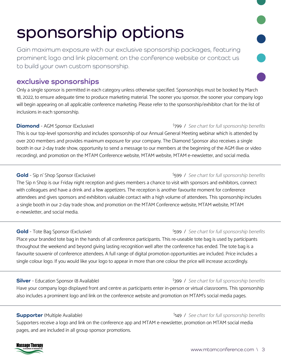# **sponsorship options**

Gain maximum exposure with our exclusive sponsorship packages, featuring prominent logo and link placement on the conference website or contact us to build your own custom sponsorship.

### **exclusive sponsorships**

Only a single sponsor is permitted in each category unless otherwise specified. Sponsorships must be booked by March 18, 2022, to ensure adequate time to produce marketing material. The sooner you sponsor, the sooner your company logo will begin appearing on all applicable conference marketing. Please refer to the sponsorship/exhibitor chart for the list of inclusions in each sponsorship.

#### **Diamond** - AGM Sponsor (Exclusive)

This is our top-level sponsorship and includes sponsorship of our Annual General Meeting webinar which is attended by over 200 members and provides maximum exposure for your company. The Diamond Sponsor also receives a single booth in our 2-day trade show, opportunity to send a message to our members at the beginning of the AGM (live or video recording), and promotion on the MTAM Conference website, MTAM website, MTAM e-newsletter, and social media.

#### Gold - Sip n' Shop Sponsor (Exclusive)

The Sip n Shop is our Friday night reception and gives members a chance to visit with sponsors and exhibitors, connect with colleagues and have a drink and a few appetizers. The reception is another favourite moment for conference attendees and gives sponsors and exhibitors valuable contact with a high volume of attendees. This sponsorship includes a single booth in our 2-day trade show, and promotion on the MTAM Conference website, MTAM website, MTAM e-newsletter, and social media.

#### Gold - Tote Bag Sponsor (Exclusive)

Place your branded tote bag in the hands of all conference participants. This re-useable tote bag is used by participants throughout the weekend and beyond giving lasting recognition well after the conference has ended. The tote bag is a favourite souvenir of conference attendees. A full range of digital promotion opportunities are included. Price includes a single colour logo. If you would like your logo to appear in more than one colour the price will increase accordingly.

#### **Silver** - Education Sponsor (8 Available)

#### \$399 / See chart for full sponsorship benefits

\$149 / See chart for full sponsorship benefits

Have your company logo displayed front and centre as participants enter in-person or virtual classrooms. This sponsorship also includes a prominent logo and link on the conference website and promotion on MTAM's social media pages.

#### **Supporter** (Multiple Available)

Supporters receive a logo and link on the conference app and MTAM e-newsletter, promotion on MTAM social media pages, and are included in all group sponsor promotions.

# Massage Therapy

#### www.mtamconference.com \ 3

#### \$599 / See chart for full sponsorship benefits

#### \$599 / See chart for full sponsorship benefits

\$799 / See chart for full sponsorship benefits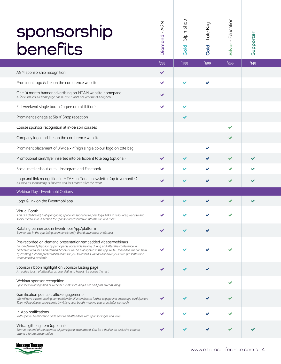| sponsorship<br>benefits                                                                                                                                                                                                                                                                                                                                                                              | NDA - bnomoiC | Sip n Shop<br>$\mathbf{I}$<br>Gold | Bag<br>$-$ Tote $\overline{ }$<br>Gold | Silver - Education | Supporter |  |
|------------------------------------------------------------------------------------------------------------------------------------------------------------------------------------------------------------------------------------------------------------------------------------------------------------------------------------------------------------------------------------------------------|---------------|------------------------------------|----------------------------------------|--------------------|-----------|--|
|                                                                                                                                                                                                                                                                                                                                                                                                      | 5799          | \$599                              | \$599                                  | \$399              | \$149     |  |
| AGM sponsorship recognition                                                                                                                                                                                                                                                                                                                                                                          | ✔             |                                    |                                        |                    |           |  |
| Prominent logo & link on the conference website                                                                                                                                                                                                                                                                                                                                                      |               |                                    |                                        |                    |           |  |
| One (1) month banner advertising on MTAM website homepage<br>A \$500 value! Our homepage has 28,000+ visits per year (2021 Analytics)                                                                                                                                                                                                                                                                | ✔             |                                    |                                        |                    |           |  |
| Full weekend single booth (in-person exhibition)                                                                                                                                                                                                                                                                                                                                                     | ✔             | ✔                                  |                                        |                    |           |  |
| Prominent signage at Sip n' Shop reception                                                                                                                                                                                                                                                                                                                                                           |               |                                    |                                        |                    |           |  |
| Course sponsor recognition at in-person courses                                                                                                                                                                                                                                                                                                                                                      |               |                                    |                                        |                    |           |  |
| Company logo and link on the conference website                                                                                                                                                                                                                                                                                                                                                      |               |                                    |                                        |                    |           |  |
| Prominent placement of 8"wide x 4"high single colour logo on tote bag                                                                                                                                                                                                                                                                                                                                |               |                                    |                                        |                    |           |  |
| Promotional item/flyer inserted into participant tote bag (optional)                                                                                                                                                                                                                                                                                                                                 | $\checkmark$  |                                    |                                        |                    |           |  |
| Social media shout-outs - Instagram and Facebook                                                                                                                                                                                                                                                                                                                                                     |               |                                    |                                        |                    |           |  |
| Logo and link recognition in MTAM In-Touch newsletter (up to 4 months)<br>As soon as sponsorship is finalized and for 1 month after the event.                                                                                                                                                                                                                                                       |               |                                    |                                        |                    |           |  |
| Webinar Day - Eventmobi Options                                                                                                                                                                                                                                                                                                                                                                      |               |                                    |                                        |                    |           |  |
| Logo & link on the Eventmobi app                                                                                                                                                                                                                                                                                                                                                                     |               |                                    |                                        |                    |           |  |
| Virtual Booth<br>This is a dedicated, highly engaging space for sponsors to post logo, links to resources, website and<br>social media links, a section for sponsor representative information and more!                                                                                                                                                                                             |               |                                    |                                        |                    |           |  |
| Rotating banner ads in Eventmobi App/platform<br>Banner ads in the app being seen consistently. Brand awareness at it's best.                                                                                                                                                                                                                                                                        |               |                                    |                                        |                    |           |  |
| Pre-recorded on-demand presentation/embedded videos/webinars<br>For on-demand playback by participants accessible before, during and after the conference. A<br>dedicated area for all on-demand content will be highlighted in the app. NOTE If needed, we can help<br>by creating a Zoom presentation room for you to record if you do not have your own presentation/<br>webinar/video available. |               |                                    |                                        |                    |           |  |
| Sponsor ribbon highlight on Sponsor Listing page<br>An added touch of attention on your listing to help it rise above the rest.                                                                                                                                                                                                                                                                      |               |                                    |                                        |                    |           |  |
| Webinar sponsor recognition<br>Sponsorship recognition at webinar events including a pre and post stream image.                                                                                                                                                                                                                                                                                      |               |                                    |                                        |                    |           |  |
| Gamification points (traffic/engagement)<br>We will have a point-scoring competition for all attendees to further engage and encourage participation.<br>They will be able to score points by visiting your booth, meeting you, or a similar outreach.                                                                                                                                               |               |                                    |                                        |                    |           |  |
| In-App notifications<br>With special Gamification code sent to all attendees with sponsor logos and links.                                                                                                                                                                                                                                                                                           |               |                                    |                                        |                    |           |  |
| Virtual gift bag item (optional)<br>Sent at the end of the event to all participants who attend. Can be a deal or an exclusive code to<br>attend a future presentation.                                                                                                                                                                                                                              |               |                                    |                                        |                    |           |  |

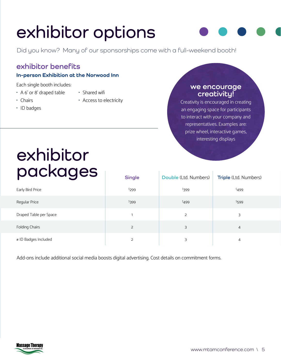# **exhibitor options**

Did you know? Many of our sponsorships come with a full-weekend booth!

### **exhibitor benefits**

#### **In-person Exhibition at the Norwood Inn**

Each single booth includes:

• A 6' or 8' draped table

- Shared wifi
- Chairs
- - Access to electricity
- ID badges

#### **we encourage creativity!**

Creativity is encouraged in creating an engaging space for participants to interact with your company and representatives. Examples are: prize wheel, interactive games, interesting displays

# **exhibitor packages Single Double** (Ltd. Numbers) **Triple** (Ltd. Numbers)

| puunguu                | <b>Single</b> | Double (Ltd. Numbers) | Triple (Ltd. Numbers) |
|------------------------|---------------|-----------------------|-----------------------|
| Early Bird Price       | 5299          | 5399                  | 5499                  |
| Regular Price          | \$399         | \$499                 | \$599                 |
| Draped Table per Space |               | 2                     | 3                     |
| Folding Chairs         | 2             | 3                     | $\overline{4}$        |
| # ID Badges Included   | 2             | 3                     | 4                     |

Add-ons include additional social media boosts digital advertising. Cost details on commitment forms.

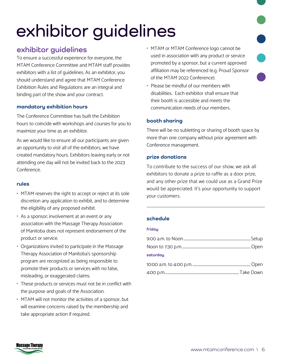# **exhibitor guidelines**

### **exhibitor guidelines**

To ensure a successful experience for everyone, the MTAM Conference Committee and MTAM staff provides exhibitors with a list of guidelines. As an exhibitor, you should understand and agree that MTAM Conference Exhibition Rules and Regulations are an integral and binding part of the show and your contract.

#### **mandatory exhibition hours**

The Conference Committee has built the Exhibition hours to coincide with workshops and courses for you to maximize your time as an exhibitor.

As we would like to ensure all our participants are given an opportunity to visit all of the exhibitors, we have created mandatory hours. Exhibitors leaving early or not attending one day will not be invited back to the 2023 Conference.

#### **rules**

- MTAM reserves the right to accept or reject at its sole discretion any application to exhibit, and to determine the eligibility of any proposed exhibit.
- As a sponsor; involvement at an event or any association with the Massage Therapy Association of Manitoba does not represent endorsement of the product or service.
- Organizations invited to participate in the Massage Therapy Association of Manitoba's sponsorship program are recognized as being responsible to promote their products or services with no false, misleading, or exaggerated claims.
- These products or services must not be in conflict with the purpose and goals of the Association.
- MTAM will not monitor the activities of a sponsor, but will examine concerns raised by the membership and take appropriate action if required.
- MTAM or MTAM Conference logo cannot be used in association with any product or service promoted by a sponsor, but a current approved affiliation may be referenced (e.g. Proud Sponsor of the MTAM 2022 Conference).
- Please be mindful of our members with disabilities. Each exhibitor shall ensure that their booth is accessible and meets the communication needs of our members.

#### **booth sharing**

There will be no subletting or sharing of booth space by more than one company without prior agreement with Conference management.

#### **prize donations**

To contribute to the success of our show, we ask all exhibitors to donate a prize to raffle as a door prize, and any other prize that we could use as a Grand Prize would be appreciated. It's your opportunity to support your customers.

#### **schedule**

#### **friday**

| saturday |  |
|----------|--|
|          |  |
|          |  |